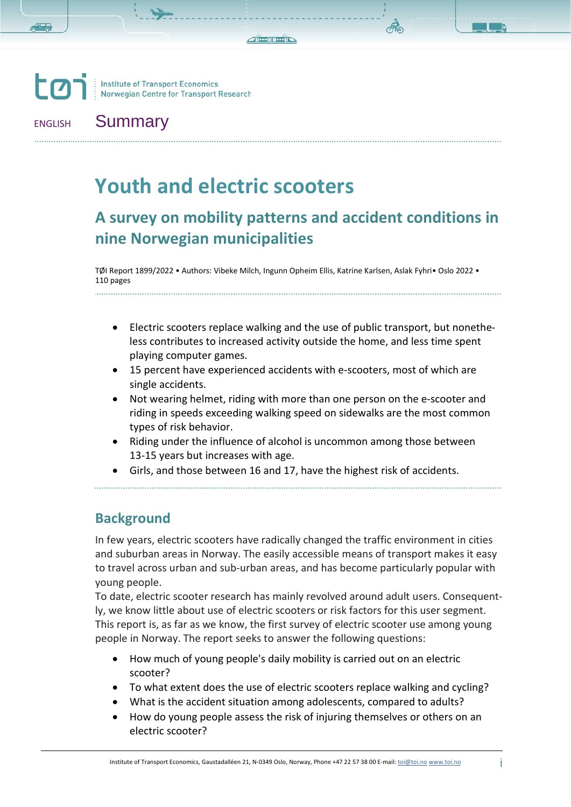**LO Institute of Transport Economics** Norwegian Centre for Transport Research

. . . . . . . . . . . . . . . . .

### ENGLISH Summary

# **Youth and electric scooters**

## **A survey on mobility patterns and accident conditions in nine Norwegian municipalities**

TØI Report 1899/2022 • Authors: Vibeke Milch, Ingunn Opheim Ellis, Katrine Karlsen, Aslak Fyhri• Oslo 2022 • 110 pages

- Electric scooters replace walking and the use of public transport, but nonetheless contributes to increased activity outside the home, and less time spent playing computer games.
- 15 percent have experienced accidents with e-scooters, most of which are single accidents.
- Not wearing helmet, riding with more than one person on the e-scooter and riding in speeds exceeding walking speed on sidewalks are the most common types of risk behavior.
- Riding under the influence of alcohol is uncommon among those between 13-15 years but increases with age.
- Girls, and those between 16 and 17, have the highest risk of accidents.

#### **Background**

In few years, electric scooters have radically changed the traffic environment in cities and suburban areas in Norway. The easily accessible means of transport makes it easy to travel across urban and sub-urban areas, and has become particularly popular with young people.

To date, electric scooter research has mainly revolved around adult users. Consequently, we know little about use of electric scooters or risk factors for this user segment. This report is, as far as we know, the first survey of electric scooter use among young people in Norway. The report seeks to answer the following questions:

- How much of young people's daily mobility is carried out on an electric scooter?
- To what extent does the use of electric scooters replace walking and cycling?
- What is the accident situation among adolescents, compared to adults?
- How do young people assess the risk of injuring themselves or others on an electric scooter?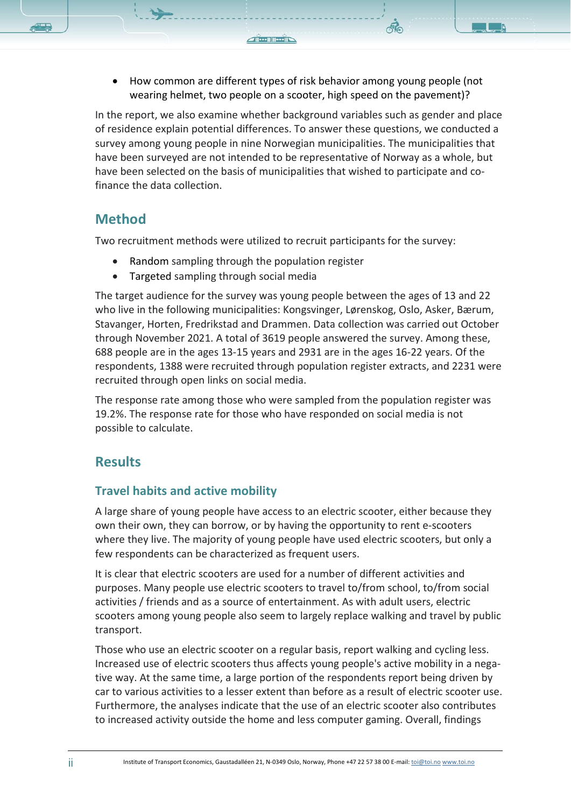• How common are different types of risk behavior among young people (not wearing helmet, two people on a scooter, high speed on the pavement)?

In the report, we also examine whether background variables such as gender and place of residence explain potential differences. To answer these questions, we conducted a survey among young people in nine Norwegian municipalities. The municipalities that have been surveyed are not intended to be representative of Norway as a whole, but have been selected on the basis of municipalities that wished to participate and cofinance the data collection.

#### **Method**

Two recruitment methods were utilized to recruit participants for the survey:

- Random sampling through the population register
- Targeted sampling through social media

The target audience for the survey was young people between the ages of 13 and 22 who live in the following municipalities: Kongsvinger, Lørenskog, Oslo, Asker, Bærum, Stavanger, Horten, Fredrikstad and Drammen. Data collection was carried out October through November 2021. A total of 3619 people answered the survey. Among these, 688 people are in the ages 13-15 years and 2931 are in the ages 16-22 years. Of the respondents, 1388 were recruited through population register extracts, and 2231 were recruited through open links on social media.

The response rate among those who were sampled from the population register was 19.2%. The response rate for those who have responded on social media is not possible to calculate.

#### **Results**

#### **Travel habits and active mobility**

A large share of young people have access to an electric scooter, either because they own their own, they can borrow, or by having the opportunity to rent e-scooters where they live. The majority of young people have used electric scooters, but only a few respondents can be characterized as frequent users.

It is clear that electric scooters are used for a number of different activities and purposes. Many people use electric scooters to travel to/from school, to/from social activities / friends and as a source of entertainment. As with adult users, electric scooters among young people also seem to largely replace walking and travel by public transport.

Those who use an electric scooter on a regular basis, report walking and cycling less. Increased use of electric scooters thus affects young people's active mobility in a negative way. At the same time, a large portion of the respondents report being driven by car to various activities to a lesser extent than before as a result of electric scooter use. Furthermore, the analyses indicate that the use of an electric scooter also contributes to increased activity outside the home and less computer gaming. Overall, findings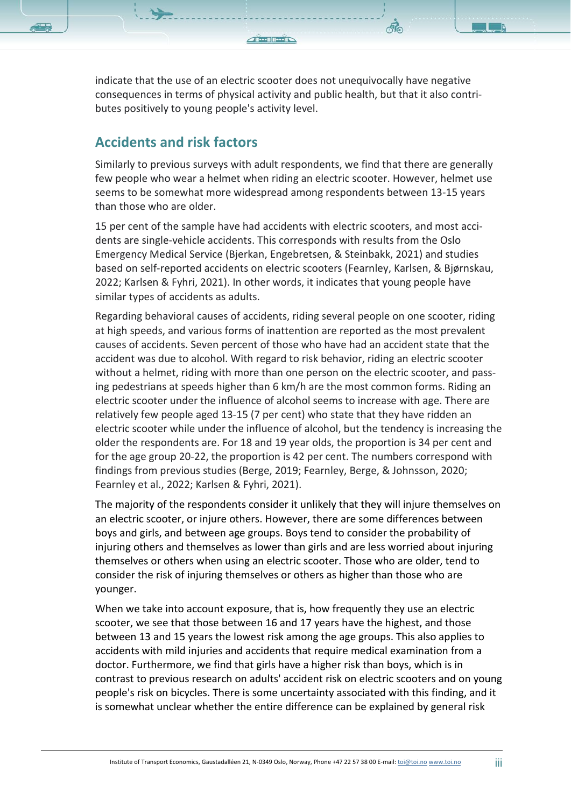indicate that the use of an electric scooter does not unequivocally have negative consequences in terms of physical activity and public health, but that it also contributes positively to young people's activity level.

#### **Accidents and risk factors**

Similarly to previous surveys with adult respondents, we find that there are generally few people who wear a helmet when riding an electric scooter. However, helmet use seems to be somewhat more widespread among respondents between 13-15 years than those who are older.

15 per cent of the sample have had accidents with electric scooters, and most accidents are single-vehicle accidents. This corresponds with results from the Oslo Emergency Medical Service (Bjerkan, Engebretsen, & Steinbakk, 2021) and studies based on self-reported accidents on electric scooters (Fearnley, Karlsen, & Bjørnskau, 2022; Karlsen & Fyhri, 2021). In other words, it indicates that young people have similar types of accidents as adults.

Regarding behavioral causes of accidents, riding several people on one scooter, riding at high speeds, and various forms of inattention are reported as the most prevalent causes of accidents. Seven percent of those who have had an accident state that the accident was due to alcohol. With regard to risk behavior, riding an electric scooter without a helmet, riding with more than one person on the electric scooter, and passing pedestrians at speeds higher than 6 km/h are the most common forms. Riding an electric scooter under the influence of alcohol seems to increase with age. There are relatively few people aged 13-15 (7 per cent) who state that they have ridden an electric scooter while under the influence of alcohol, but the tendency is increasing the older the respondents are. For 18 and 19 year olds, the proportion is 34 per cent and for the age group 20-22, the proportion is 42 per cent. The numbers correspond with findings from previous studies (Berge, 2019; Fearnley, Berge, & Johnsson, 2020; Fearnley et al., 2022; Karlsen & Fyhri, 2021).

The majority of the respondents consider it unlikely that they will injure themselves on an electric scooter, or injure others. However, there are some differences between boys and girls, and between age groups. Boys tend to consider the probability of injuring others and themselves as lower than girls and are less worried about injuring themselves or others when using an electric scooter. Those who are older, tend to consider the risk of injuring themselves or others as higher than those who are younger.

When we take into account exposure, that is, how frequently they use an electric scooter, we see that those between 16 and 17 years have the highest, and those between 13 and 15 years the lowest risk among the age groups. This also applies to accidents with mild injuries and accidents that require medical examination from a doctor. Furthermore, we find that girls have a higher risk than boys, which is in contrast to previous research on adults' accident risk on electric scooters and on young people's risk on bicycles. There is some uncertainty associated with this finding, and it is somewhat unclear whether the entire difference can be explained by general risk